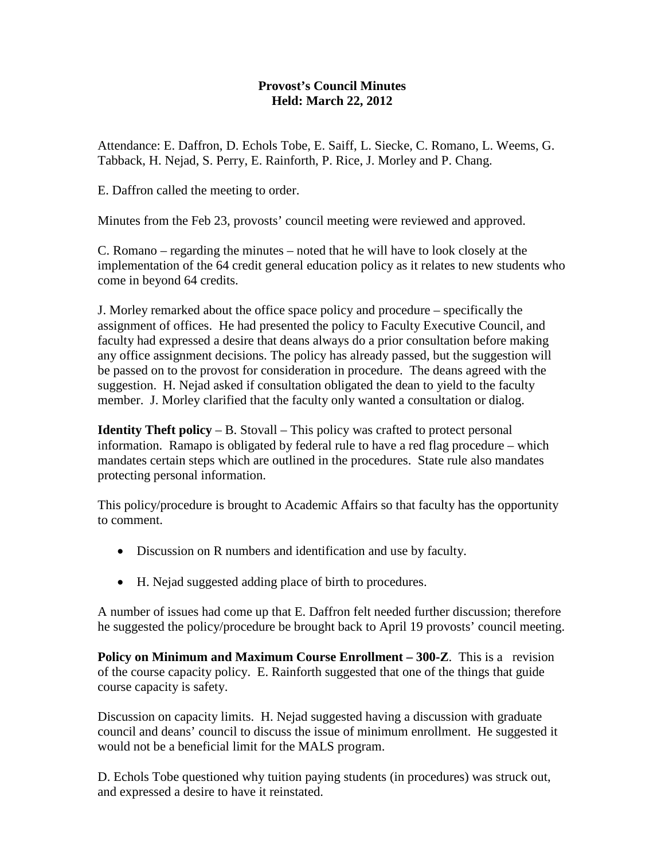## **Provost's Council Minutes Held: March 22, 2012**

Attendance: E. Daffron, D. Echols Tobe, E. Saiff, L. Siecke, C. Romano, L. Weems, G. Tabback, H. Nejad, S. Perry, E. Rainforth, P. Rice, J. Morley and P. Chang.

E. Daffron called the meeting to order.

Minutes from the Feb 23, provosts' council meeting were reviewed and approved.

C. Romano – regarding the minutes – noted that he will have to look closely at the implementation of the 64 credit general education policy as it relates to new students who come in beyond 64 credits.

J. Morley remarked about the office space policy and procedure – specifically the assignment of offices. He had presented the policy to Faculty Executive Council, and faculty had expressed a desire that deans always do a prior consultation before making any office assignment decisions. The policy has already passed, but the suggestion will be passed on to the provost for consideration in procedure. The deans agreed with the suggestion. H. Nejad asked if consultation obligated the dean to yield to the faculty member. J. Morley clarified that the faculty only wanted a consultation or dialog.

**Identity Theft policy** – B. Stovall – This policy was crafted to protect personal information. Ramapo is obligated by federal rule to have a red flag procedure – which mandates certain steps which are outlined in the procedures. State rule also mandates protecting personal information.

This policy/procedure is brought to Academic Affairs so that faculty has the opportunity to comment.

- Discussion on R numbers and identification and use by faculty.
- H. Nejad suggested adding place of birth to procedures.

A number of issues had come up that E. Daffron felt needed further discussion; therefore he suggested the policy/procedure be brought back to April 19 provosts' council meeting.

**Policy on Minimum and Maximum Course Enrollment – 300-Z**. This is a revision of the course capacity policy. E. Rainforth suggested that one of the things that guide course capacity is safety.

Discussion on capacity limits. H. Nejad suggested having a discussion with graduate council and deans' council to discuss the issue of minimum enrollment. He suggested it would not be a beneficial limit for the MALS program.

D. Echols Tobe questioned why tuition paying students (in procedures) was struck out, and expressed a desire to have it reinstated.